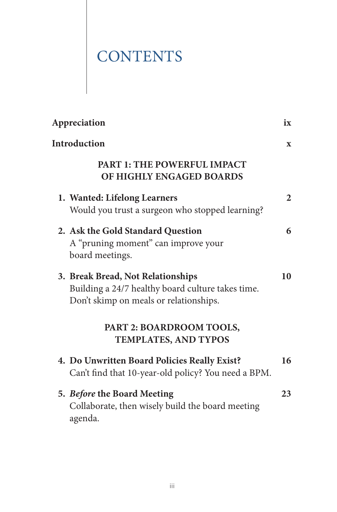## **CONTENTS**

| Appreciation                                                                                                                     | ix           |
|----------------------------------------------------------------------------------------------------------------------------------|--------------|
| <b>Introduction</b>                                                                                                              | $\mathbf{x}$ |
| <b>PART 1: THE POWERFUL IMPACT</b><br>OF HIGHLY ENGAGED BOARDS                                                                   |              |
| 1. Wanted: Lifelong Learners<br>Would you trust a surgeon who stopped learning?                                                  | 2            |
| 2. Ask the Gold Standard Question<br>A "pruning moment" can improve your<br>board meetings.                                      | 6            |
| 3. Break Bread, Not Relationships<br>Building a 24/7 healthy board culture takes time.<br>Don't skimp on meals or relationships. | 10           |
| PART 2: BOARDROOM TOOLS,<br><b>TEMPLATES, AND TYPOS</b>                                                                          |              |
| 4. Do Unwritten Board Policies Really Exist?<br>Can't find that 10-year-old policy? You need a BPM.                              | 16           |
| 5. Before the Board Meeting<br>Collaborate, then wisely build the board meeting<br>agenda.                                       | 23           |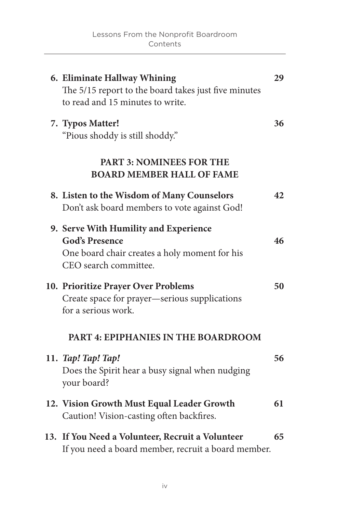| 6. Eliminate Hallway Whining<br>The 5/15 report to the board takes just five minutes<br>to read and 15 minutes to write.                 | 29 |
|------------------------------------------------------------------------------------------------------------------------------------------|----|
| 7. Typos Matter!<br>"Pious shoddy is still shoddy."                                                                                      | 36 |
| <b>PART 3: NOMINEES FOR THE</b><br><b>BOARD MEMBER HALL OF FAME</b>                                                                      |    |
| 8. Listen to the Wisdom of Many Counselors<br>Don't ask board members to vote against God!                                               | 42 |
| 9. Serve With Humility and Experience<br><b>God's Presence</b><br>One board chair creates a holy moment for his<br>CEO search committee. | 46 |
| 10. Prioritize Prayer Over Problems<br>Create space for prayer-serious supplications<br>for a serious work.                              | 50 |
| PART 4: EPIPHANIES IN THE BOARDROOM                                                                                                      |    |
| 11. Tap! Tap! Tap!<br>Does the Spirit hear a busy signal when nudging<br>your board?                                                     | 56 |
| 12. Vision Growth Must Equal Leader Growth<br>Caution! Vision-casting often backfires.                                                   | 61 |
| 13. If You Need a Volunteer, Recruit a Volunteer<br>If you need a board member, recruit a board member.                                  | 65 |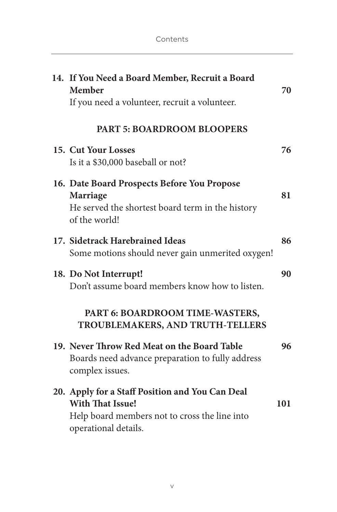| 14. If You Need a Board Member, Recruit a Board<br>Member<br>If you need a volunteer, recruit a volunteer.                                          | 70  |
|-----------------------------------------------------------------------------------------------------------------------------------------------------|-----|
| <b>PART 5: BOARDROOM BLOOPERS</b>                                                                                                                   |     |
| 15. Cut Your Losses<br>Is it a \$30,000 baseball or not?                                                                                            | 76  |
| 16. Date Board Prospects Before You Propose<br><b>Marriage</b><br>He served the shortest board term in the history<br>of the world!                 | 81  |
| 17. Sidetrack Harebrained Ideas<br>Some motions should never gain unmerited oxygen!                                                                 | 86  |
| 18. Do Not Interrupt!<br>Don't assume board members know how to listen.                                                                             | 90  |
| PART 6: BOARDROOM TIME-WASTERS,<br>TROUBLEMAKERS, AND TRUTH-TELLERS                                                                                 |     |
| 19. Never Throw Red Meat on the Board Table<br>Boards need advance preparation to fully address<br>complex issues.                                  | 96  |
| 20. Apply for a Staff Position and You Can Deal<br><b>With That Issue!</b><br>Help board members not to cross the line into<br>operational details. | 101 |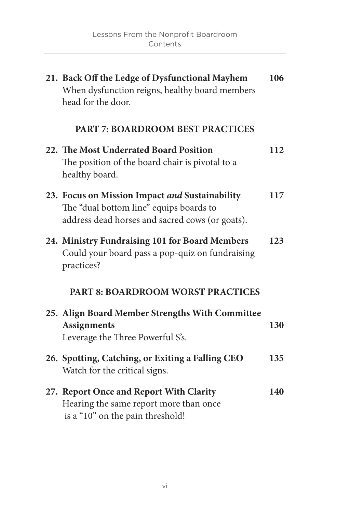| 21. Back Off the Ledge of Dysfunctional Mayhem<br>When dysfunction reigns, healthy board members<br>head for the door.                       | 106 |
|----------------------------------------------------------------------------------------------------------------------------------------------|-----|
| <b>PART 7: BOARDROOM BEST PRACTICES</b>                                                                                                      |     |
| 22. The Most Underrated Board Position<br>The position of the board chair is pivotal to a<br>healthy board.                                  | 112 |
| 23. Focus on Mission Impact and Sustainability<br>The "dual bottom line" equips boards to<br>address dead horses and sacred cows (or goats). | 117 |
| 24. Ministry Fundraising 101 for Board Members<br>Could your board pass a pop-quiz on fundraising<br>practices?                              | 123 |
| <b>PART 8: BOARDROOM WORST PRACTICES</b>                                                                                                     |     |
| 25. Align Board Member Strengths With Committee<br><b>Assignments</b><br>Leverage the Three Powerful S's.                                    | 130 |
| 26. Spotting, Catching, or Exiting a Falling CEO<br>Watch for the critical signs.                                                            | 135 |
| 27. Report Once and Report With Clarity<br>Hearing the same report more than once<br>is a "10" on the pain threshold!                        | 140 |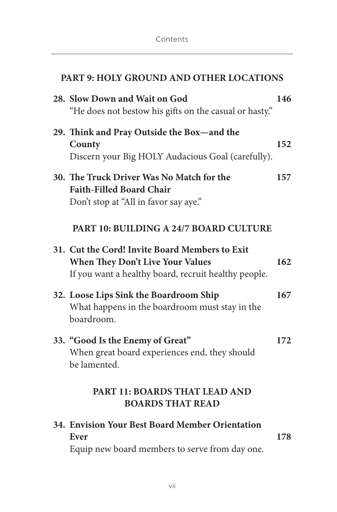| PART 9: HOLY GROUND AND OTHER LOCATIONS                                                                                                    |     |  |
|--------------------------------------------------------------------------------------------------------------------------------------------|-----|--|
| 28. Slow Down and Wait on God<br>"He does not bestow his gifts on the casual or hasty."                                                    | 146 |  |
| 29. Think and Pray Outside the Box—and the<br>County<br>Discern your Big HOLY Audacious Goal (carefully).                                  | 152 |  |
| 30. The Truck Driver Was No Match for the<br><b>Faith-Filled Board Chair</b><br>Don't stop at "All in favor say aye."                      | 157 |  |
| <b>PART 10: BUILDING A 24/7 BOARD CULTURE</b>                                                                                              |     |  |
| 31. Cut the Cord! Invite Board Members to Exit<br>When They Don't Live Your Values<br>If you want a healthy board, recruit healthy people. | 162 |  |
| 32. Loose Lips Sink the Boardroom Ship<br>What happens in the boardroom must stay in the<br>boardroom.                                     | 167 |  |
| 33. "Good Is the Enemy of Great"<br>When great board experiences end, they should<br>be lamented.                                          | 172 |  |
| <b>PART 11: BOARDS THAT LEAD AND</b><br><b>BOARDS THAT READ</b>                                                                            |     |  |
| 34. Envision Your Best Board Member Orientation<br>Ever<br>Equip new board members to serve from day one.                                  | 178 |  |